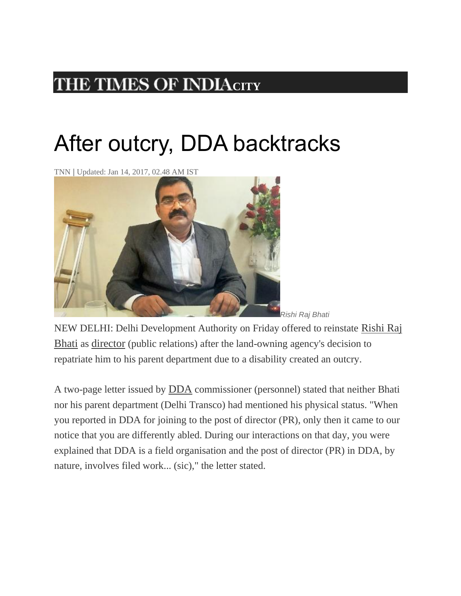## **THE TIMES OF INDIA[C](http://timesofindia.indiatimes.com/)ITY**

## After outcry, DDA backtracks

TNN | Updated: Jan 14, 2017, 02.48 AM IST



NEW DELHI: Delhi Development Authority on Friday offered to reinstate [Rishi Raj](http://timesofindia.indiatimes.com/topic/Rishi-Raj-Bhati)  [Bhati](http://timesofindia.indiatimes.com/topic/Rishi-Raj-Bhati) as [director](http://timesofindia.indiatimes.com/topic/director) (public relations) after the land-owning agency's decision to repatriate him to his parent department due to a disability created an outcry.

A two-page letter issued by [DDA](http://timesofindia.indiatimes.com/topic/DDA) commissioner (personnel) stated that neither Bhati nor his parent department (Delhi Transco) had mentioned his physical status. "When you reported in DDA for joining to the post of director (PR), only then it came to our notice that you are differently abled. During our interactions on that day, you were explained that DDA is a field organisation and the post of director (PR) in DDA, by nature, involves filed work... (sic)," the letter stated.